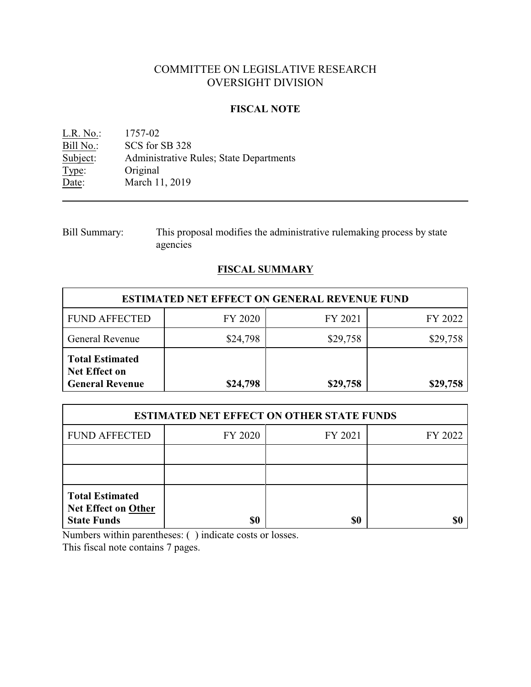# COMMITTEE ON LEGISLATIVE RESEARCH OVERSIGHT DIVISION

## **FISCAL NOTE**

<u>L.R. No.:</u> 1757-02<br>Bill No.: SCS for 9 Bill No.: SCS for SB 328<br>Subject: Administrative F Administrative Rules; State Departments Type: Original Date: March 11, 2019

Bill Summary: This proposal modifies the administrative rulemaking process by state agencies

# **FISCAL SUMMARY**

| <b>ESTIMATED NET EFFECT ON GENERAL REVENUE FUND</b>                      |          |          |          |  |
|--------------------------------------------------------------------------|----------|----------|----------|--|
| <b>FUND AFFECTED</b>                                                     | FY 2020  | FY 2021  | FY 2022  |  |
| General Revenue                                                          | \$24,798 | \$29,758 | \$29,758 |  |
| <b>Total Estimated</b><br><b>Net Effect on</b><br><b>General Revenue</b> | \$24,798 | \$29,758 | \$29,758 |  |

| <b>ESTIMATED NET EFFECT ON OTHER STATE FUNDS</b>                           |         |         |         |  |
|----------------------------------------------------------------------------|---------|---------|---------|--|
| <b>FUND AFFECTED</b>                                                       | FY 2020 | FY 2021 | FY 2022 |  |
|                                                                            |         |         |         |  |
|                                                                            |         |         |         |  |
| <b>Total Estimated</b><br><b>Net Effect on Other</b><br><b>State Funds</b> | \$0     | \$0     | \$t     |  |

Numbers within parentheses: ( ) indicate costs or losses.

This fiscal note contains 7 pages.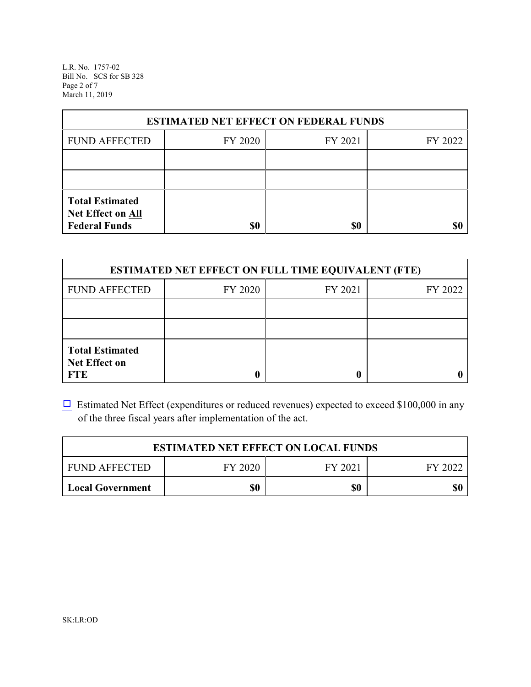L.R. No. 1757-02 Bill No. SCS for SB 328 Page 2 of 7 March 11, 2019

| <b>ESTIMATED NET EFFECT ON FEDERAL FUNDS</b>                        |         |         |         |  |
|---------------------------------------------------------------------|---------|---------|---------|--|
| <b>FUND AFFECTED</b>                                                | FY 2020 | FY 2021 | FY 2022 |  |
|                                                                     |         |         |         |  |
|                                                                     |         |         |         |  |
| <b>Total Estimated</b><br>Net Effect on All<br><b>Federal Funds</b> | \$0     | \$0     |         |  |

| <b>ESTIMATED NET EFFECT ON FULL TIME EQUIVALENT (FTE)</b>    |         |         |         |  |
|--------------------------------------------------------------|---------|---------|---------|--|
| <b>FUND AFFECTED</b>                                         | FY 2020 | FY 2021 | FY 2022 |  |
|                                                              |         |         |         |  |
|                                                              |         |         |         |  |
| <b>Total Estimated</b><br><b>Net Effect on</b><br><b>FTE</b> |         |         |         |  |

 $\Box$  Estimated Net Effect (expenditures or reduced revenues) expected to exceed \$100,000 in any of the three fiscal years after implementation of the act.

| <b>ESTIMATED NET EFFECT ON LOCAL FUNDS</b> |         |         |         |
|--------------------------------------------|---------|---------|---------|
| <b>FUND AFFECTED</b>                       | FY 2020 | FY 2021 | FY 2022 |
| <b>Local Government</b>                    | \$0     | \$0     | \$0     |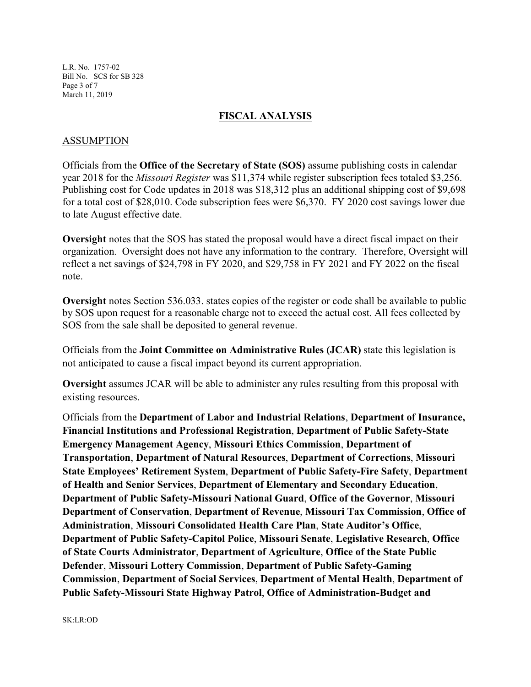L.R. No. 1757-02 Bill No. SCS for SB 328 Page 3 of 7 March 11, 2019

#### **FISCAL ANALYSIS**

#### ASSUMPTION

Officials from the **Office of the Secretary of State (SOS)** assume publishing costs in calendar year 2018 for the *Missouri Register* was \$11,374 while register subscription fees totaled \$3,256. Publishing cost for Code updates in 2018 was \$18,312 plus an additional shipping cost of \$9,698 for a total cost of \$28,010. Code subscription fees were \$6,370. FY 2020 cost savings lower due to late August effective date.

**Oversight** notes that the SOS has stated the proposal would have a direct fiscal impact on their organization. Oversight does not have any information to the contrary. Therefore, Oversight will reflect a net savings of \$24,798 in FY 2020, and \$29,758 in FY 2021 and FY 2022 on the fiscal note.

**Oversight** notes Section 536.033. states copies of the register or code shall be available to public by SOS upon request for a reasonable charge not to exceed the actual cost. All fees collected by SOS from the sale shall be deposited to general revenue.

Officials from the **Joint Committee on Administrative Rules (JCAR)** state this legislation is not anticipated to cause a fiscal impact beyond its current appropriation.

**Oversight** assumes JCAR will be able to administer any rules resulting from this proposal with existing resources.

Officials from the **Department of Labor and Industrial Relations**, **Department of Insurance, Financial Institutions and Professional Registration**, **Department of Public Safety-State Emergency Management Agency**, **Missouri Ethics Commission**, **Department of Transportation**, **Department of Natural Resources**, **Department of Corrections**, **Missouri State Employees' Retirement System**, **Department of Public Safety-Fire Safety**, **Department of Health and Senior Services**, **Department of Elementary and Secondary Education**, **Department of Public Safety-Missouri National Guard**, **Office of the Governor**, **Missouri Department of Conservation**, **Department of Revenue**, **Missouri Tax Commission**, **Office of Administration**, **Missouri Consolidated Health Care Plan**, **State Auditor's Office**, **Department of Public Safety-Capitol Police**, **Missouri Senate**, **Legislative Research**, **Office of State Courts Administrator**, **Department of Agriculture**, **Office of the State Public Defender**, **Missouri Lottery Commission**, **Department of Public Safety-Gaming Commission**, **Department of Social Services**, **Department of Mental Health**, **Department of Public Safety-Missouri State Highway Patrol**, **Office of Administration-Budget and**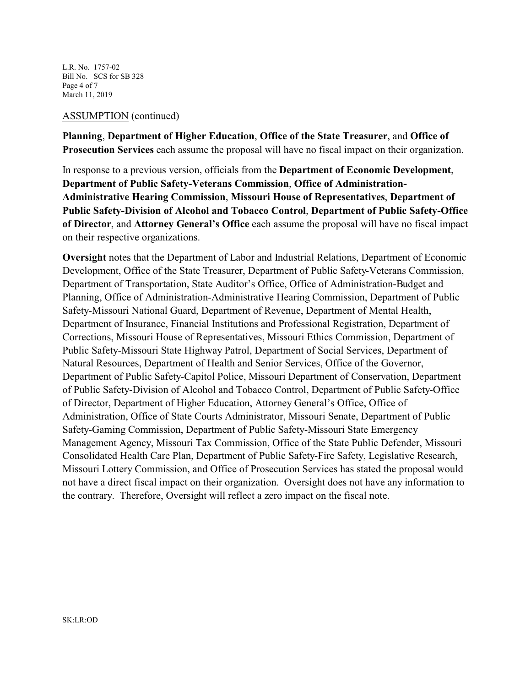L.R. No. 1757-02 Bill No. SCS for SB 328 Page 4 of 7 March 11, 2019

#### ASSUMPTION (continued)

**Planning**, **Department of Higher Education**, **Office of the State Treasurer**, and **Office of Prosecution Services** each assume the proposal will have no fiscal impact on their organization.

In response to a previous version, officials from the **Department of Economic Development**, **Department of Public Safety-Veterans Commission**, **Office of Administration-Administrative Hearing Commission**, **Missouri House of Representatives**, **Department of Public Safety-Division of Alcohol and Tobacco Control**, **Department of Public Safety-Office of Director**, and **Attorney General's Office** each assume the proposal will have no fiscal impact on their respective organizations.

**Oversight** notes that the Department of Labor and Industrial Relations, Department of Economic Development, Office of the State Treasurer, Department of Public Safety-Veterans Commission, Department of Transportation, State Auditor's Office, Office of Administration-Budget and Planning, Office of Administration-Administrative Hearing Commission, Department of Public Safety-Missouri National Guard, Department of Revenue, Department of Mental Health, Department of Insurance, Financial Institutions and Professional Registration, Department of Corrections, Missouri House of Representatives, Missouri Ethics Commission, Department of Public Safety-Missouri State Highway Patrol, Department of Social Services, Department of Natural Resources, Department of Health and Senior Services, Office of the Governor, Department of Public Safety-Capitol Police, Missouri Department of Conservation, Department of Public Safety-Division of Alcohol and Tobacco Control, Department of Public Safety-Office of Director, Department of Higher Education, Attorney General's Office, Office of Administration, Office of State Courts Administrator, Missouri Senate, Department of Public Safety-Gaming Commission, Department of Public Safety-Missouri State Emergency Management Agency, Missouri Tax Commission, Office of the State Public Defender, Missouri Consolidated Health Care Plan, Department of Public Safety-Fire Safety, Legislative Research, Missouri Lottery Commission, and Office of Prosecution Services has stated the proposal would not have a direct fiscal impact on their organization. Oversight does not have any information to the contrary. Therefore, Oversight will reflect a zero impact on the fiscal note.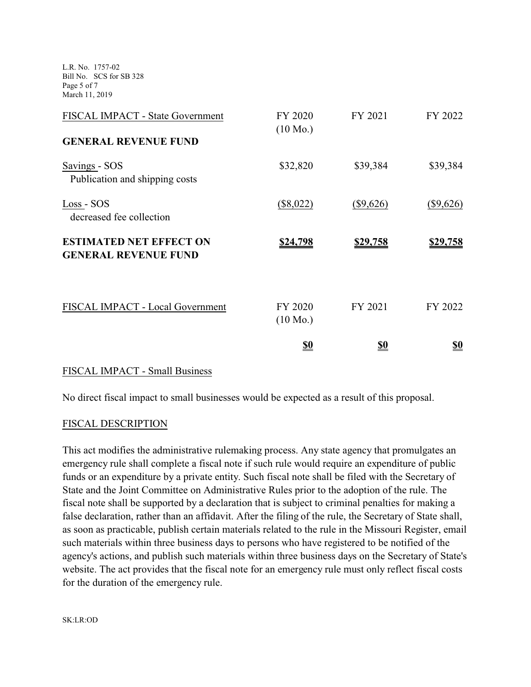L.R. No. 1757-02 Bill No. SCS for SB 328 Page 5 of 7 March 11, 2019

| FISCAL IMPACT - State Government<br><b>GENERAL REVENUE FUND</b> | FY 2020<br>$(10 \text{ Mo.})$ | FY 2021         | FY 2022         |
|-----------------------------------------------------------------|-------------------------------|-----------------|-----------------|
| Savings - SOS<br>Publication and shipping costs                 | \$32,820                      | \$39,384        | \$39,384        |
| Loss - SOS<br>decreased fee collection                          | $(\$8,022)$                   | $(\$9,626)$     | (\$9,626)       |
| <b>ESTIMATED NET EFFECT ON</b><br><b>GENERAL REVENUE FUND</b>   | <u>\$24,798</u>               | <u>\$29,758</u> | <u>\$29,758</u> |
| FISCAL IMPACT - Local Government                                | FY 2020<br>$(10 \text{ Mo.})$ | FY 2021         | FY 2022         |
|                                                                 | <u>\$0</u>                    | <u>\$0</u>      | <u>\$0</u>      |

## FISCAL IMPACT - Small Business

No direct fiscal impact to small businesses would be expected as a result of this proposal.

## FISCAL DESCRIPTION

This act modifies the administrative rulemaking process. Any state agency that promulgates an emergency rule shall complete a fiscal note if such rule would require an expenditure of public funds or an expenditure by a private entity. Such fiscal note shall be filed with the Secretary of State and the Joint Committee on Administrative Rules prior to the adoption of the rule. The fiscal note shall be supported by a declaration that is subject to criminal penalties for making a false declaration, rather than an affidavit. After the filing of the rule, the Secretary of State shall, as soon as practicable, publish certain materials related to the rule in the Missouri Register, email such materials within three business days to persons who have registered to be notified of the agency's actions, and publish such materials within three business days on the Secretary of State's website. The act provides that the fiscal note for an emergency rule must only reflect fiscal costs for the duration of the emergency rule.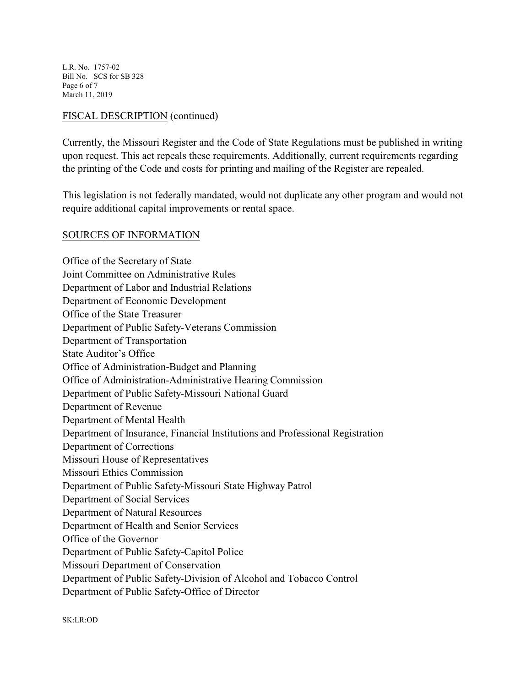L.R. No. 1757-02 Bill No. SCS for SB 328 Page 6 of 7 March 11, 2019

# FISCAL DESCRIPTION (continued)

Currently, the Missouri Register and the Code of State Regulations must be published in writing upon request. This act repeals these requirements. Additionally, current requirements regarding the printing of the Code and costs for printing and mailing of the Register are repealed.

This legislation is not federally mandated, would not duplicate any other program and would not require additional capital improvements or rental space.

# SOURCES OF INFORMATION

Office of the Secretary of State Joint Committee on Administrative Rules Department of Labor and Industrial Relations Department of Economic Development Office of the State Treasurer Department of Public Safety-Veterans Commission Department of Transportation State Auditor's Office Office of Administration-Budget and Planning Office of Administration-Administrative Hearing Commission Department of Public Safety-Missouri National Guard Department of Revenue Department of Mental Health Department of Insurance, Financial Institutions and Professional Registration Department of Corrections Missouri House of Representatives Missouri Ethics Commission Department of Public Safety-Missouri State Highway Patrol Department of Social Services Department of Natural Resources Department of Health and Senior Services Office of the Governor Department of Public Safety-Capitol Police Missouri Department of Conservation Department of Public Safety-Division of Alcohol and Tobacco Control Department of Public Safety-Office of Director

SK:LR:OD